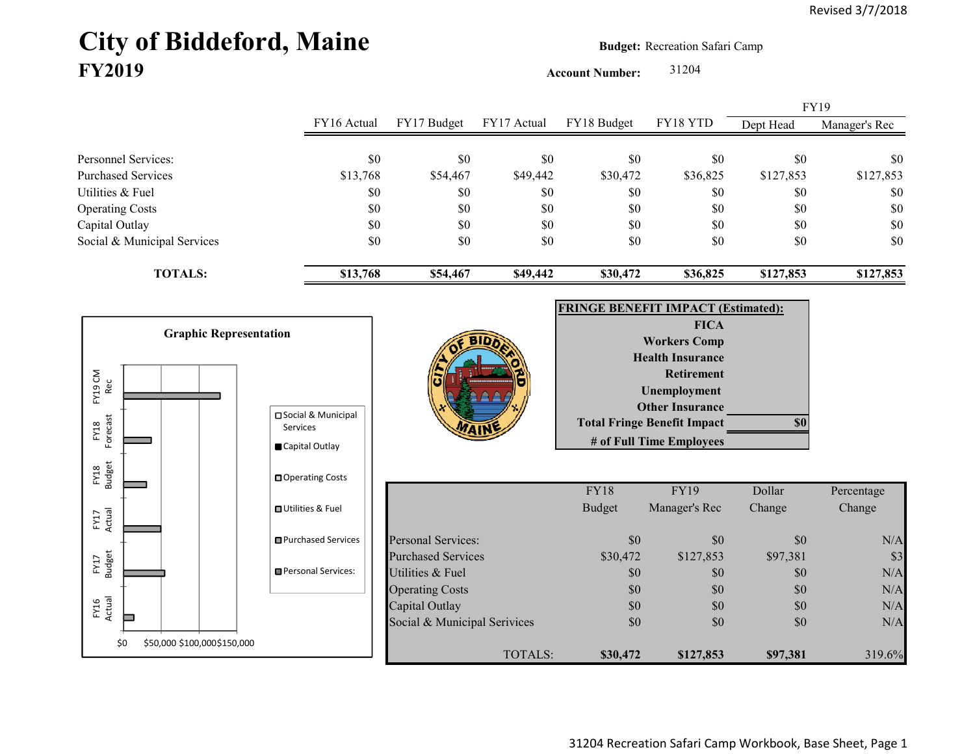## City of Biddeford, Maine **Budget:** Recreation Safari Camp **FY2019**

**Account Number:** 31204

FY16 Actual FY17 Budget FY17 Actual FY18 Budget FY18 YTD Dept Head Manager's Rec Personnel Services: \$0 \$0 \$0 \$0 \$0 \$0 \$0 Purchased Services 513,768 \$13,768 \$54,467 \$49,442 \$30,472 \$36,825 \$127,853 \$127,853 Utilities & Fuel \$0 \$0 \$0 \$0 \$0 \$0 \$0 Operating Costs \$0 \$0 \$0 \$0 \$0 \$0 Capital Outlay \$0 \$0 \$0 \$0 \$0 \$0 Social & Municipal Services \$0 \$0 \$0 \$0 \$0 \$0 \$0 **TOTALS: \$13,768 \$54,467 \$49,442 \$30,472 \$36,825 \$127,853 \$127,853** FY19



31204 Recreation Safari Camp Workbook, Base Sheet, Page 1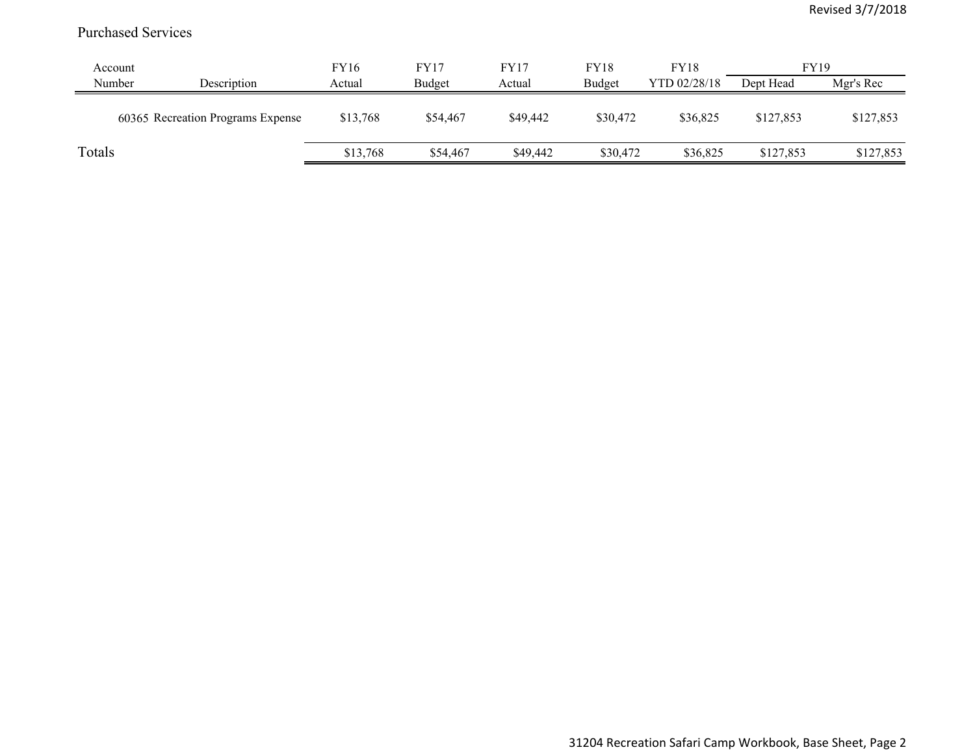## Purchased Services

| Account |                                   | FY16     | <b>FY17</b> | FY17     | <b>FY18</b> | <b>FY18</b>  | <b>FY19</b> |           |
|---------|-----------------------------------|----------|-------------|----------|-------------|--------------|-------------|-----------|
| Number  | Description                       | Actual   | Budget      | Actual   | Budget      | YTD 02/28/18 | Dept Head   | Mgr's Rec |
|         | 60365 Recreation Programs Expense | \$13,768 | \$54,467    | \$49,442 | \$30,472    | \$36,825     | \$127,853   | \$127,853 |
| Totals  |                                   | \$13,768 | \$54,467    | \$49,442 | \$30,472    | \$36,825     | \$127,853   | \$127,853 |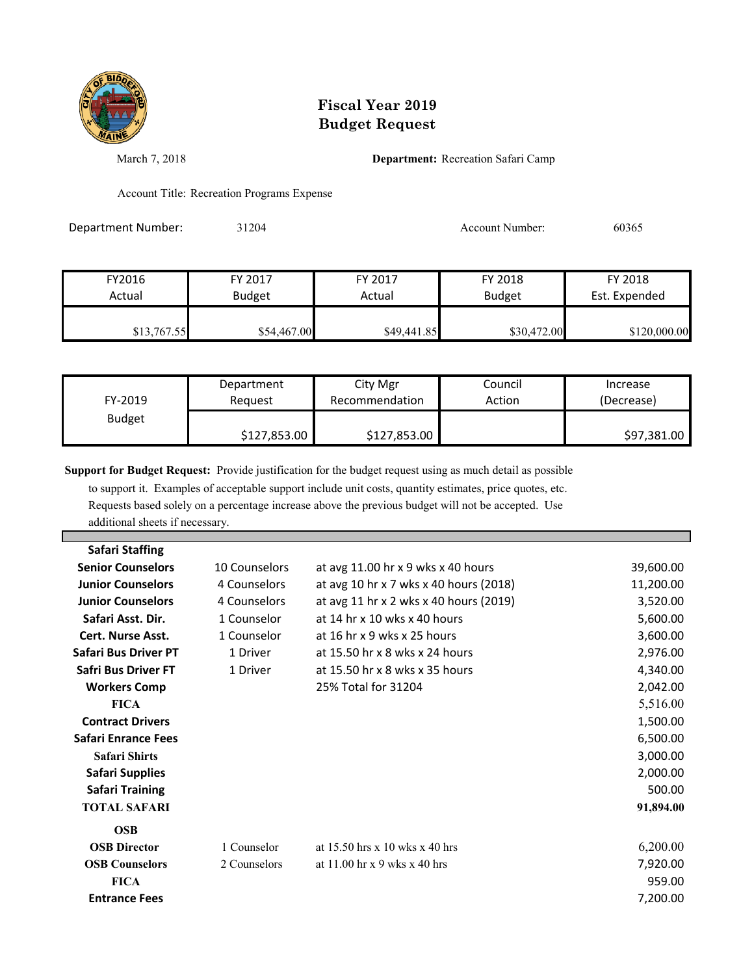

## **Fiscal Year 2019 Budget Request**

March 7, 2018 **Department:** Recreation Safari Camp

Account Title: Recreation Programs Expense

Department Number: 31204 31204 Account Number: 60365

| FY2016      | FY 2017       | FY 2017     | FY 2018       | FY 2018       |
|-------------|---------------|-------------|---------------|---------------|
| Actual      | <b>Budget</b> | Actual      | <b>Budget</b> | Est. Expended |
| \$13,767.55 | \$54,467.00   | \$49,441.85 | \$30,472.00   | \$120,000.00  |

| FY-2019       | Department   | City Mgr       | Council | Increase    |
|---------------|--------------|----------------|---------|-------------|
|               | Reauest      | Recommendation | Action  | (Decrease)  |
| <b>Budget</b> | \$127,853.00 | \$127,853.00   |         | \$97,381.00 |

**Support for Budget Request:** Provide justification for the budget request using as much detail as possible

 to support it. Examples of acceptable support include unit costs, quantity estimates, price quotes, etc. Requests based solely on a percentage increase above the previous budget will not be accepted. Use additional sheets if necessary.

| 10 Counselors | at avg 11.00 hr x 9 wks x 40 hours     | 39,600.00 |
|---------------|----------------------------------------|-----------|
| 4 Counselors  | at avg 10 hr x 7 wks x 40 hours (2018) | 11,200.00 |
| 4 Counselors  | at avg 11 hr x 2 wks x 40 hours (2019) | 3,520.00  |
| 1 Counselor   | at 14 hr x 10 wks x 40 hours           | 5,600.00  |
| 1 Counselor   | at 16 hr x 9 wks x 25 hours            | 3,600.00  |
| 1 Driver      | at 15.50 hr x 8 wks x 24 hours         | 2,976.00  |
| 1 Driver      | at 15.50 hr x 8 wks x 35 hours         | 4,340.00  |
|               | 25% Total for 31204                    | 2,042.00  |
|               |                                        | 5,516.00  |
|               |                                        | 1,500.00  |
|               |                                        | 6,500.00  |
|               |                                        | 3,000.00  |
|               |                                        | 2,000.00  |
|               |                                        | 500.00    |
|               |                                        | 91,894.00 |
|               |                                        |           |
| 1 Counselor   | at $15.50$ hrs x 10 wks x 40 hrs       | 6,200.00  |
| 2 Counselors  | at $11.00$ hr x 9 wks x 40 hrs         | 7,920.00  |
|               |                                        | 959.00    |
|               |                                        | 7,200.00  |
|               |                                        |           |